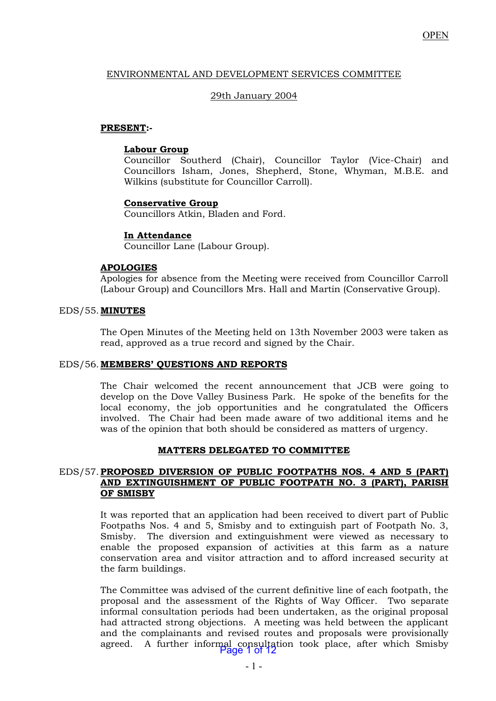# ENVIRONMENTAL AND DEVELOPMENT SERVICES COMMITTEE

# 29th January 2004

# **PRESENT:-**

### **Labour Group**

 Councillor Southerd (Chair), Councillor Taylor (Vice-Chair) and Councillors Isham, Jones, Shepherd, Stone, Whyman, M.B.E. and Wilkins (substitute for Councillor Carroll).

# **Conservative Group**

Councillors Atkin, Bladen and Ford.

### **In Attendance**

Councillor Lane (Labour Group).

# **APOLOGIES**

Apologies for absence from the Meeting were received from Councillor Carroll (Labour Group) and Councillors Mrs. Hall and Martin (Conservative Group).

### EDS/55. **MINUTES**

The Open Minutes of the Meeting held on 13th November 2003 were taken as read, approved as a true record and signed by the Chair.

#### EDS/56. **MEMBERS' QUESTIONS AND REPORTS**

 The Chair welcomed the recent announcement that JCB were going to develop on the Dove Valley Business Park. He spoke of the benefits for the local economy, the job opportunities and he congratulated the Officers involved. The Chair had been made aware of two additional items and he was of the opinion that both should be considered as matters of urgency.

#### **MATTERS DELEGATED TO COMMITTEE**

### EDS/57. **PROPOSED DIVERSION OF PUBLIC FOOTPATHS NOS. 4 AND 5 (PART) AND EXTINGUISHMENT OF PUBLIC FOOTPATH NO. 3 (PART), PARISH OF SMISBY**

 It was reported that an application had been received to divert part of Public Footpaths Nos. 4 and 5, Smisby and to extinguish part of Footpath No. 3, Smisby. The diversion and extinguishment were viewed as necessary to enable the proposed expansion of activities at this farm as a nature conservation area and visitor attraction and to afford increased security at the farm buildings.

 The Committee was advised of the current definitive line of each footpath, the proposal and the assessment of the Rights of Way Officer. Two separate informal consultation periods had been undertaken, as the original proposal had attracted strong objections. A meeting was held between the applicant and the complainants and revised routes and proposals were provisionally agreed. A further informal consultation took place, after which Smisby Page 1 of 12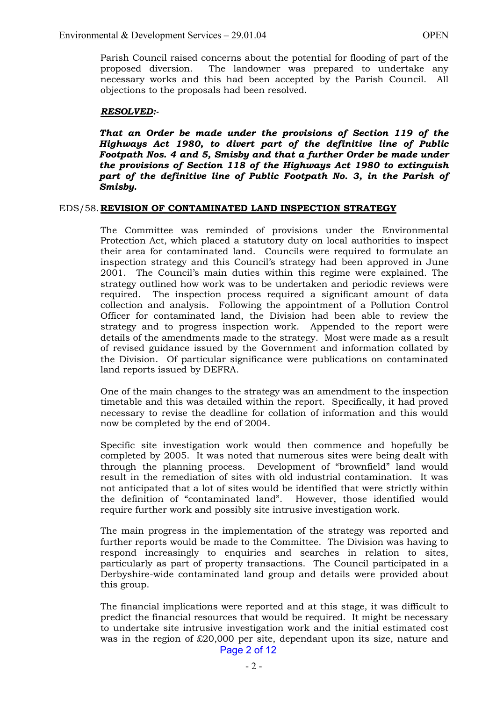Parish Council raised concerns about the potential for flooding of part of the proposed diversion. The landowner was prepared to undertake any The landowner was prepared to undertake any necessary works and this had been accepted by the Parish Council. All objections to the proposals had been resolved.

# *RESOLVED:-*

 *That an Order be made under the provisions of Section 119 of the Highways Act 1980, to divert part of the definitive line of Public Footpath Nos. 4 and 5, Smisby and that a further Order be made under the provisions of Section 118 of the Highways Act 1980 to extinguish part of the definitive line of Public Footpath No. 3, in the Parish of Smisby.* 

### EDS/58. **REVISION OF CONTAMINATED LAND INSPECTION STRATEGY**

 The Committee was reminded of provisions under the Environmental Protection Act, which placed a statutory duty on local authorities to inspect their area for contaminated land. Councils were required to formulate an inspection strategy and this Council's strategy had been approved in June 2001. The Council's main duties within this regime were explained. The strategy outlined how work was to be undertaken and periodic reviews were required. The inspection process required a significant amount of data collection and analysis. Following the appointment of a Pollution Control Officer for contaminated land, the Division had been able to review the strategy and to progress inspection work. Appended to the report were details of the amendments made to the strategy. Most were made as a result of revised guidance issued by the Government and information collated by the Division. Of particular significance were publications on contaminated land reports issued by DEFRA.

 One of the main changes to the strategy was an amendment to the inspection timetable and this was detailed within the report. Specifically, it had proved necessary to revise the deadline for collation of information and this would now be completed by the end of 2004.

 Specific site investigation work would then commence and hopefully be completed by 2005. It was noted that numerous sites were being dealt with through the planning process. Development of "brownfield" land would result in the remediation of sites with old industrial contamination. It was not anticipated that a lot of sites would be identified that were strictly within the definition of "contaminated land". However, those identified would require further work and possibly site intrusive investigation work.

 The main progress in the implementation of the strategy was reported and further reports would be made to the Committee. The Division was having to respond increasingly to enquiries and searches in relation to sites, particularly as part of property transactions. The Council participated in a Derbyshire-wide contaminated land group and details were provided about this group.

 The financial implications were reported and at this stage, it was difficult to predict the financial resources that would be required. It might be necessary to undertake site intrusive investigation work and the initial estimated cost was in the region of £20,000 per site, dependant upon its size, nature and Page 2 of 12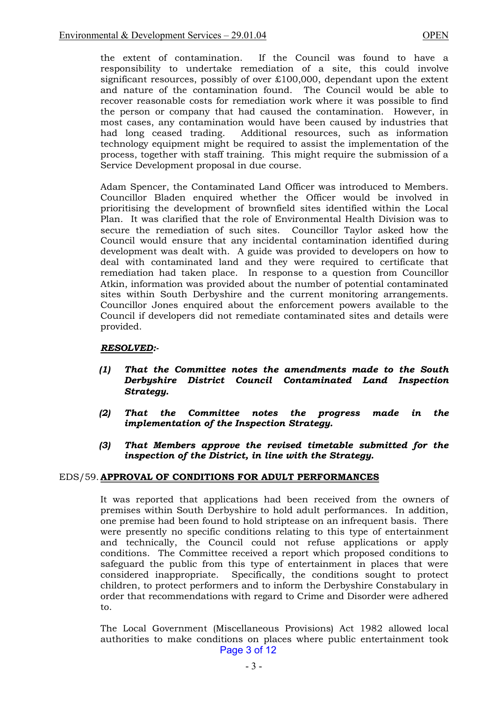the extent of contamination. If the Council was found to have a responsibility to undertake remediation of a site, this could involve significant resources, possibly of over £100,000, dependant upon the extent and nature of the contamination found. The Council would be able to recover reasonable costs for remediation work where it was possible to find the person or company that had caused the contamination. However, in most cases, any contamination would have been caused by industries that had long ceased trading. Additional resources, such as information Additional resources, such as information technology equipment might be required to assist the implementation of the process, together with staff training. This might require the submission of a Service Development proposal in due course.

 Adam Spencer, the Contaminated Land Officer was introduced to Members. Councillor Bladen enquired whether the Officer would be involved in prioritising the development of brownfield sites identified within the Local Plan. It was clarified that the role of Environmental Health Division was to secure the remediation of such sites. Councillor Taylor asked how the Council would ensure that any incidental contamination identified during development was dealt with. A guide was provided to developers on how to deal with contaminated land and they were required to certificate that remediation had taken place. In response to a question from Councillor Atkin, information was provided about the number of potential contaminated sites within South Derbyshire and the current monitoring arrangements. Councillor Jones enquired about the enforcement powers available to the Council if developers did not remediate contaminated sites and details were provided.

# *RESOLVED:-*

- *(1) That the Committee notes the amendments made to the South Derbyshire District Council Contaminated Land Inspection Strategy.*
- *(2) That the Committee notes the progress made in the implementation of the Inspection Strategy.*
- *(3) That Members approve the revised timetable submitted for the inspection of the District, in line with the Strategy.*

# EDS/59. **APPROVAL OF CONDITIONS FOR ADULT PERFORMANCES**

It was reported that applications had been received from the owners of premises within South Derbyshire to hold adult performances. In addition, one premise had been found to hold striptease on an infrequent basis. There were presently no specific conditions relating to this type of entertainment and technically, the Council could not refuse applications or apply conditions. The Committee received a report which proposed conditions to safeguard the public from this type of entertainment in places that were considered inappropriate. Specifically, the conditions sought to protect children, to protect performers and to inform the Derbyshire Constabulary in order that recommendations with regard to Crime and Disorder were adhered to.

The Local Government (Miscellaneous Provisions) Act 1982 allowed local authorities to make conditions on places where public entertainment took Page 3 of 12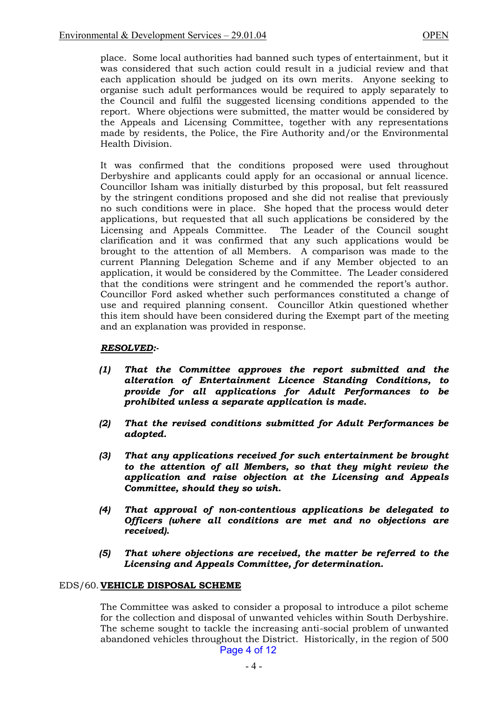place. Some local authorities had banned such types of entertainment, but it was considered that such action could result in a judicial review and that each application should be judged on its own merits. Anyone seeking to organise such adult performances would be required to apply separately to the Council and fulfil the suggested licensing conditions appended to the report. Where objections were submitted, the matter would be considered by the Appeals and Licensing Committee, together with any representations made by residents, the Police, the Fire Authority and/or the Environmental Health Division.

It was confirmed that the conditions proposed were used throughout Derbyshire and applicants could apply for an occasional or annual licence. Councillor Isham was initially disturbed by this proposal, but felt reassured by the stringent conditions proposed and she did not realise that previously no such conditions were in place. She hoped that the process would deter applications, but requested that all such applications be considered by the Licensing and Appeals Committee. The Leader of the Council sought clarification and it was confirmed that any such applications would be brought to the attention of all Members. A comparison was made to the current Planning Delegation Scheme and if any Member objected to an application, it would be considered by the Committee. The Leader considered that the conditions were stringent and he commended the report's author. Councillor Ford asked whether such performances constituted a change of use and required planning consent. Councillor Atkin questioned whether this item should have been considered during the Exempt part of the meeting and an explanation was provided in response.

# *RESOLVED:-*

- *(1) That the Committee approves the report submitted and the alteration of Entertainment Licence Standing Conditions, to provide for all applications for Adult Performances to be prohibited unless a separate application is made.*
- *(2) That the revised conditions submitted for Adult Performances be adopted.*
- *(3) That any applications received for such entertainment be brought to the attention of all Members, so that they might review the application and raise objection at the Licensing and Appeals Committee, should they so wish.*
- *(4) That approval of non-contentious applications be delegated to Officers (where all conditions are met and no objections are received).*
- *(5) That where objections are received, the matter be referred to the Licensing and Appeals Committee, for determination.*

# EDS/60. **VEHICLE DISPOSAL SCHEME**

 The Committee was asked to consider a proposal to introduce a pilot scheme for the collection and disposal of unwanted vehicles within South Derbyshire. The scheme sought to tackle the increasing anti-social problem of unwanted abandoned vehicles throughout the District. Historically, in the region of 500 Page 4 of 12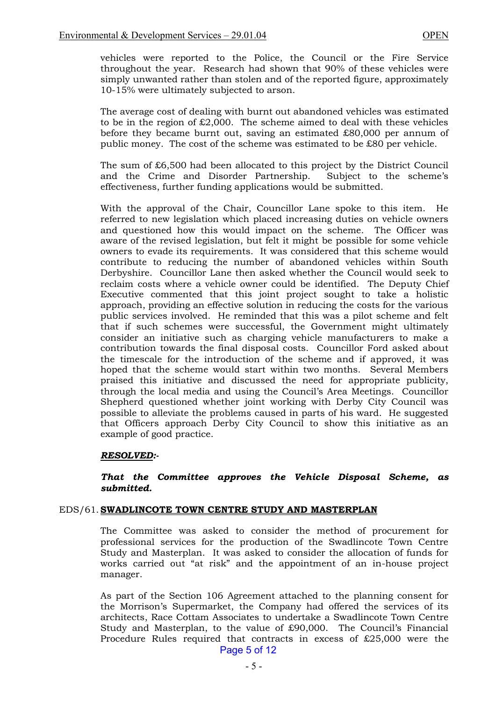vehicles were reported to the Police, the Council or the Fire Service throughout the year. Research had shown that 90% of these vehicles were simply unwanted rather than stolen and of the reported figure, approximately 10-15% were ultimately subjected to arson.

 The average cost of dealing with burnt out abandoned vehicles was estimated to be in the region of £2,000. The scheme aimed to deal with these vehicles before they became burnt out, saving an estimated £80,000 per annum of public money. The cost of the scheme was estimated to be £80 per vehicle.

 The sum of £6,500 had been allocated to this project by the District Council and the Crime and Disorder Partnership. Subject to the scheme's effectiveness, further funding applications would be submitted.

 With the approval of the Chair, Councillor Lane spoke to this item. He referred to new legislation which placed increasing duties on vehicle owners and questioned how this would impact on the scheme. The Officer was aware of the revised legislation, but felt it might be possible for some vehicle owners to evade its requirements. It was considered that this scheme would contribute to reducing the number of abandoned vehicles within South Derbyshire. Councillor Lane then asked whether the Council would seek to reclaim costs where a vehicle owner could be identified. The Deputy Chief Executive commented that this joint project sought to take a holistic approach, providing an effective solution in reducing the costs for the various public services involved. He reminded that this was a pilot scheme and felt that if such schemes were successful, the Government might ultimately consider an initiative such as charging vehicle manufacturers to make a contribution towards the final disposal costs. Councillor Ford asked about the timescale for the introduction of the scheme and if approved, it was hoped that the scheme would start within two months. Several Members praised this initiative and discussed the need for appropriate publicity, through the local media and using the Council's Area Meetings. Councillor Shepherd questioned whether joint working with Derby City Council was possible to alleviate the problems caused in parts of his ward. He suggested that Officers approach Derby City Council to show this initiative as an example of good practice.

#### *RESOLVED:-*

### *That the Committee approves the Vehicle Disposal Scheme, as submitted.*

#### EDS/61. **SWADLINCOTE TOWN CENTRE STUDY AND MASTERPLAN**

 The Committee was asked to consider the method of procurement for professional services for the production of the Swadlincote Town Centre Study and Masterplan. It was asked to consider the allocation of funds for works carried out "at risk" and the appointment of an in-house project manager.

 As part of the Section 106 Agreement attached to the planning consent for the Morrison's Supermarket, the Company had offered the services of its architects, Race Cottam Associates to undertake a Swadlincote Town Centre Study and Masterplan, to the value of £90,000. The Council's Financial Procedure Rules required that contracts in excess of £25,000 were the Page 5 of 12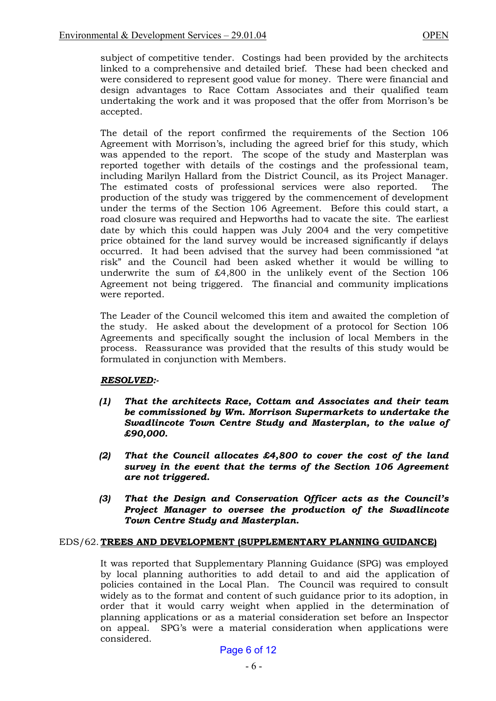subject of competitive tender. Costings had been provided by the architects linked to a comprehensive and detailed brief. These had been checked and were considered to represent good value for money. There were financial and design advantages to Race Cottam Associates and their qualified team undertaking the work and it was proposed that the offer from Morrison's be accepted.

 The detail of the report confirmed the requirements of the Section 106 Agreement with Morrison's, including the agreed brief for this study, which was appended to the report. The scope of the study and Masterplan was reported together with details of the costings and the professional team, including Marilyn Hallard from the District Council, as its Project Manager. The estimated costs of professional services were also reported. The production of the study was triggered by the commencement of development under the terms of the Section 106 Agreement. Before this could start, a road closure was required and Hepworths had to vacate the site. The earliest date by which this could happen was July 2004 and the very competitive price obtained for the land survey would be increased significantly if delays occurred. It had been advised that the survey had been commissioned "at risk" and the Council had been asked whether it would be willing to underwrite the sum of £4,800 in the unlikely event of the Section 106 Agreement not being triggered. The financial and community implications were reported.

 The Leader of the Council welcomed this item and awaited the completion of the study. He asked about the development of a protocol for Section 106 Agreements and specifically sought the inclusion of local Members in the process. Reassurance was provided that the results of this study would be formulated in conjunction with Members.

# *RESOLVED:-*

- *(1) That the architects Race, Cottam and Associates and their team be commissioned by Wm. Morrison Supermarkets to undertake the Swadlincote Town Centre Study and Masterplan, to the value of £90,000.*
- *(2) That the Council allocates £4,800 to cover the cost of the land survey in the event that the terms of the Section 106 Agreement are not triggered.*
- *(3) That the Design and Conservation Officer acts as the Council's Project Manager to oversee the production of the Swadlincote Town Centre Study and Masterplan.*

# EDS/62. **TREES AND DEVELOPMENT (SUPPLEMENTARY PLANNING GUIDANCE)**

 It was reported that Supplementary Planning Guidance (SPG) was employed by local planning authorities to add detail to and aid the application of policies contained in the Local Plan. The Council was required to consult widely as to the format and content of such guidance prior to its adoption, in order that it would carry weight when applied in the determination of planning applications or as a material consideration set before an Inspector on appeal. SPG's were a material consideration when applications were considered.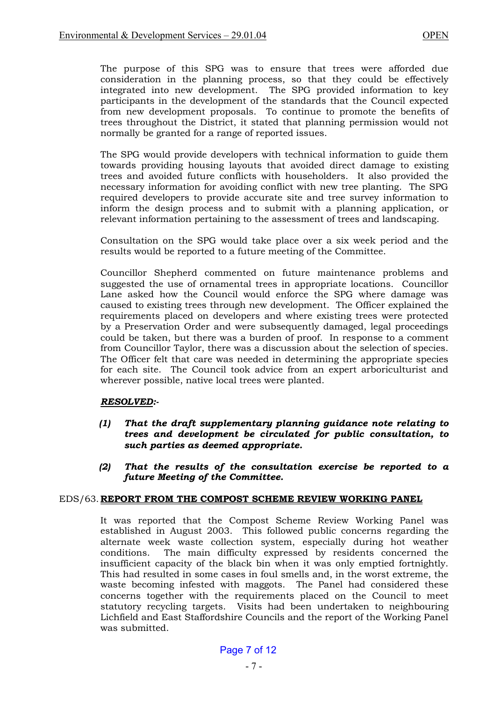The purpose of this SPG was to ensure that trees were afforded due consideration in the planning process, so that they could be effectively integrated into new development. The SPG provided information to key participants in the development of the standards that the Council expected from new development proposals. To continue to promote the benefits of trees throughout the District, it stated that planning permission would not normally be granted for a range of reported issues.

 The SPG would provide developers with technical information to guide them towards providing housing layouts that avoided direct damage to existing trees and avoided future conflicts with householders. It also provided the necessary information for avoiding conflict with new tree planting. The SPG required developers to provide accurate site and tree survey information to inform the design process and to submit with a planning application, or relevant information pertaining to the assessment of trees and landscaping.

 Consultation on the SPG would take place over a six week period and the results would be reported to a future meeting of the Committee.

 Councillor Shepherd commented on future maintenance problems and suggested the use of ornamental trees in appropriate locations. Councillor Lane asked how the Council would enforce the SPG where damage was caused to existing trees through new development. The Officer explained the requirements placed on developers and where existing trees were protected by a Preservation Order and were subsequently damaged, legal proceedings could be taken, but there was a burden of proof. In response to a comment from Councillor Taylor, there was a discussion about the selection of species. The Officer felt that care was needed in determining the appropriate species for each site. The Council took advice from an expert arboriculturist and wherever possible, native local trees were planted.

# *RESOLVED:-*

- *(1) That the draft supplementary planning guidance note relating to trees and development be circulated for public consultation, to such parties as deemed appropriate.*
- *(2) That the results of the consultation exercise be reported to a future Meeting of the Committee.*

# EDS/63. **REPORT FROM THE COMPOST SCHEME REVIEW WORKING PANEL**

 It was reported that the Compost Scheme Review Working Panel was established in August 2003. This followed public concerns regarding the alternate week waste collection system, especially during hot weather conditions. The main difficulty expressed by residents concerned the insufficient capacity of the black bin when it was only emptied fortnightly. This had resulted in some cases in foul smells and, in the worst extreme, the waste becoming infested with maggots. The Panel had considered these concerns together with the requirements placed on the Council to meet statutory recycling targets. Visits had been undertaken to neighbouring Lichfield and East Staffordshire Councils and the report of the Working Panel was submitted.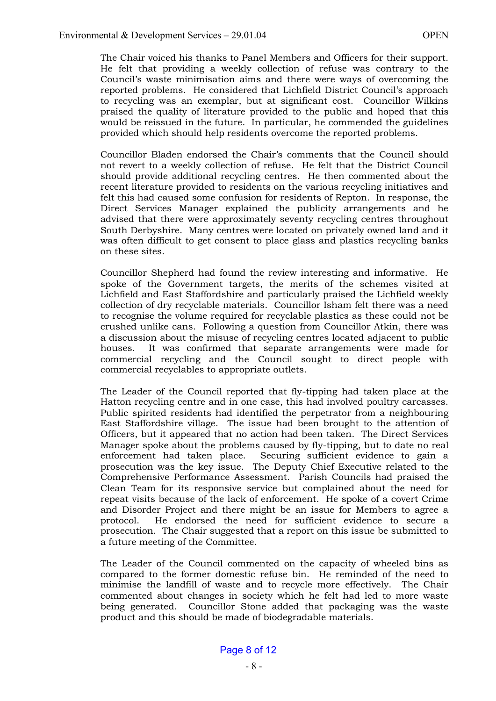The Chair voiced his thanks to Panel Members and Officers for their support. He felt that providing a weekly collection of refuse was contrary to the Council's waste minimisation aims and there were ways of overcoming the reported problems. He considered that Lichfield District Council's approach to recycling was an exemplar, but at significant cost. Councillor Wilkins praised the quality of literature provided to the public and hoped that this would be reissued in the future. In particular, he commended the guidelines provided which should help residents overcome the reported problems.

 Councillor Bladen endorsed the Chair's comments that the Council should not revert to a weekly collection of refuse. He felt that the District Council should provide additional recycling centres. He then commented about the recent literature provided to residents on the various recycling initiatives and felt this had caused some confusion for residents of Repton. In response, the Direct Services Manager explained the publicity arrangements and he advised that there were approximately seventy recycling centres throughout South Derbyshire. Many centres were located on privately owned land and it was often difficult to get consent to place glass and plastics recycling banks on these sites.

 Councillor Shepherd had found the review interesting and informative. He spoke of the Government targets, the merits of the schemes visited at Lichfield and East Staffordshire and particularly praised the Lichfield weekly collection of dry recyclable materials. Councillor Isham felt there was a need to recognise the volume required for recyclable plastics as these could not be crushed unlike cans. Following a question from Councillor Atkin, there was a discussion about the misuse of recycling centres located adjacent to public houses. It was confirmed that separate arrangements were made for commercial recycling and the Council sought to direct people with commercial recyclables to appropriate outlets.

 The Leader of the Council reported that fly-tipping had taken place at the Hatton recycling centre and in one case, this had involved poultry carcasses. Public spirited residents had identified the perpetrator from a neighbouring East Staffordshire village. The issue had been brought to the attention of Officers, but it appeared that no action had been taken. The Direct Services Manager spoke about the problems caused by fly-tipping, but to date no real enforcement had taken place. Securing sufficient evidence to gain a prosecution was the key issue. The Deputy Chief Executive related to the Comprehensive Performance Assessment. Parish Councils had praised the Clean Team for its responsive service but complained about the need for repeat visits because of the lack of enforcement. He spoke of a covert Crime and Disorder Project and there might be an issue for Members to agree a protocol. He endorsed the need for sufficient evidence to secure a prosecution. The Chair suggested that a report on this issue be submitted to a future meeting of the Committee.

 The Leader of the Council commented on the capacity of wheeled bins as compared to the former domestic refuse bin. He reminded of the need to minimise the landfill of waste and to recycle more effectively. The Chair commented about changes in society which he felt had led to more waste being generated. Councillor Stone added that packaging was the waste product and this should be made of biodegradable materials.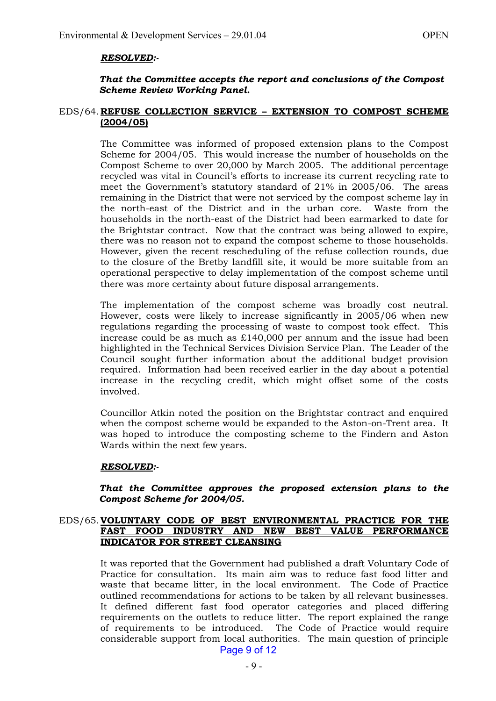### *RESOLVED:-*

### *That the Committee accepts the report and conclusions of the Compost Scheme Review Working Panel.*

#### EDS/64. **REFUSE COLLECTION SERVICE – EXTENSION TO COMPOST SCHEME (2004/05)**

 The Committee was informed of proposed extension plans to the Compost Scheme for 2004/05. This would increase the number of households on the Compost Scheme to over 20,000 by March 2005. The additional percentage recycled was vital in Council's efforts to increase its current recycling rate to meet the Government's statutory standard of 21% in 2005/06. The areas remaining in the District that were not serviced by the compost scheme lay in the north-east of the District and in the urban core. Waste from the households in the north-east of the District had been earmarked to date for the Brightstar contract. Now that the contract was being allowed to expire, there was no reason not to expand the compost scheme to those households. However, given the recent rescheduling of the refuse collection rounds, due to the closure of the Bretby landfill site, it would be more suitable from an operational perspective to delay implementation of the compost scheme until there was more certainty about future disposal arrangements.

 The implementation of the compost scheme was broadly cost neutral. However, costs were likely to increase significantly in 2005/06 when new regulations regarding the processing of waste to compost took effect. This increase could be as much as £140,000 per annum and the issue had been highlighted in the Technical Services Division Service Plan. The Leader of the Council sought further information about the additional budget provision required. Information had been received earlier in the day about a potential increase in the recycling credit, which might offset some of the costs involved.

 Councillor Atkin noted the position on the Brightstar contract and enquired when the compost scheme would be expanded to the Aston-on-Trent area. It was hoped to introduce the composting scheme to the Findern and Aston Wards within the next few years.

#### *RESOLVED:-*

#### *That the Committee approves the proposed extension plans to the Compost Scheme for 2004/05.*

### EDS/65. **VOLUNTARY CODE OF BEST ENVIRONMENTAL PRACTICE FOR THE FAST FOOD INDUSTRY AND NEW BEST VALUE PERFORMANCE INDICATOR FOR STREET CLEANSING**

 It was reported that the Government had published a draft Voluntary Code of Practice for consultation. Its main aim was to reduce fast food litter and waste that became litter, in the local environment. The Code of Practice outlined recommendations for actions to be taken by all relevant businesses. It defined different fast food operator categories and placed differing requirements on the outlets to reduce litter. The report explained the range of requirements to be introduced. The Code of Practice would require considerable support from local authorities. The main question of principle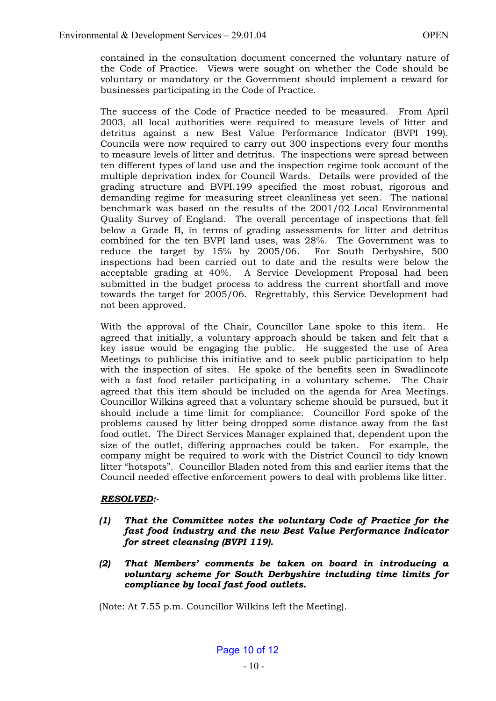contained in the consultation document concerned the voluntary nature of the Code of Practice. Views were sought on whether the Code should be voluntary or mandatory or the Government should implement a reward for businesses participating in the Code of Practice.

 The success of the Code of Practice needed to be measured. From April 2003, all local authorities were required to measure levels of litter and detritus against a new Best Value Performance Indicator (BVPI 199). Councils were now required to carry out 300 inspections every four months to measure levels of litter and detritus. The inspections were spread between ten different types of land use and the inspection regime took account of the multiple deprivation index for Council Wards. Details were provided of the grading structure and BVPI.199 specified the most robust, rigorous and demanding regime for measuring street cleanliness yet seen. The national benchmark was based on the results of the 2001/02 Local Environmental Quality Survey of England. The overall percentage of inspections that fell below a Grade B, in terms of grading assessments for litter and detritus combined for the ten BVPI land uses, was 28%. The Government was to reduce the target by 15% by 2005/06. For South Derbyshire, 500 inspections had been carried out to date and the results were below the acceptable grading at 40%. A Service Development Proposal had been submitted in the budget process to address the current shortfall and move towards the target for 2005/06. Regrettably, this Service Development had not been approved.

 With the approval of the Chair, Councillor Lane spoke to this item. He agreed that initially, a voluntary approach should be taken and felt that a key issue would be engaging the public. He suggested the use of Area Meetings to publicise this initiative and to seek public participation to help with the inspection of sites. He spoke of the benefits seen in Swadlincote with a fast food retailer participating in a voluntary scheme. The Chair agreed that this item should be included on the agenda for Area Meetings. Councillor Wilkins agreed that a voluntary scheme should be pursued, but it should include a time limit for compliance. Councillor Ford spoke of the problems caused by litter being dropped some distance away from the fast food outlet. The Direct Services Manager explained that, dependent upon the size of the outlet, differing approaches could be taken. For example, the company might be required to work with the District Council to tidy known litter "hotspots". Councillor Bladen noted from this and earlier items that the Council needed effective enforcement powers to deal with problems like litter.

# *RESOLVED:-*

- *(1) That the Committee notes the voluntary Code of Practice for the fast food industry and the new Best Value Performance Indicator for street cleansing (BVPI 119).*
- *(2) That Members' comments be taken on board in introducing a voluntary scheme for South Derbyshire including time limits for compliance by local fast food outlets.*

(Note: At 7.55 p.m. Councillor Wilkins left the Meeting).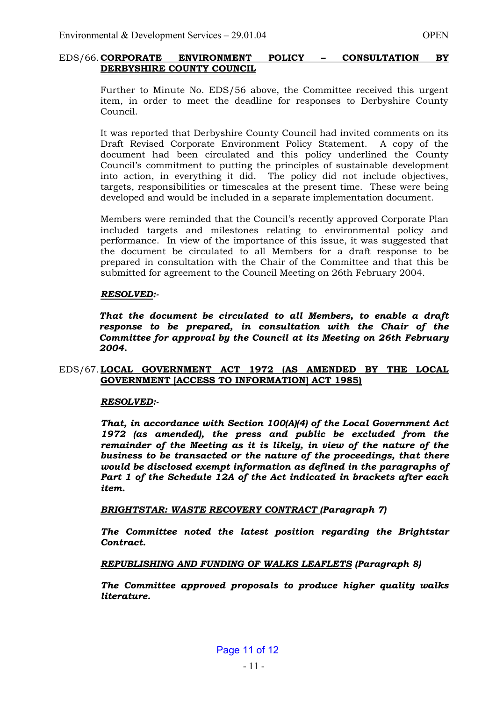### EDS/66. **CORPORATE ENVIRONMENT POLICY – CONSULTATION BY DERBYSHIRE COUNTY COUNCIL**

 Further to Minute No. EDS/56 above, the Committee received this urgent item, in order to meet the deadline for responses to Derbyshire County Council.

 It was reported that Derbyshire County Council had invited comments on its Draft Revised Corporate Environment Policy Statement. A copy of the document had been circulated and this policy underlined the County Council's commitment to putting the principles of sustainable development into action, in everything it did. The policy did not include objectives, targets, responsibilities or timescales at the present time. These were being developed and would be included in a separate implementation document.

 Members were reminded that the Council's recently approved Corporate Plan included targets and milestones relating to environmental policy and performance. In view of the importance of this issue, it was suggested that the document be circulated to all Members for a draft response to be prepared in consultation with the Chair of the Committee and that this be submitted for agreement to the Council Meeting on 26th February 2004.

### *RESOLVED:-*

*That the document be circulated to all Members, to enable a draft response to be prepared, in consultation with the Chair of the Committee for approval by the Council at its Meeting on 26th February 2004.* 

# EDS/67. **LOCAL GOVERNMENT ACT 1972 (AS AMENDED BY THE LOCAL GOVERNMENT [ACCESS TO INFORMATION] ACT 1985)**

# *RESOLVED:-*

 *That, in accordance with Section 100(A)(4) of the Local Government Act 1972 (as amended), the press and public be excluded from the remainder of the Meeting as it is likely, in view of the nature of the business to be transacted or the nature of the proceedings, that there would be disclosed exempt information as defined in the paragraphs of Part 1 of the Schedule 12A of the Act indicated in brackets after each item.* 

 *BRIGHTSTAR: WASTE RECOVERY CONTRACT (Paragraph 7)* 

*The Committee noted the latest position regarding the Brightstar Contract.* 

*REPUBLISHING AND FUNDING OF WALKS LEAFLETS (Paragraph 8)* 

*The Committee approved proposals to produce higher quality walks literature.*